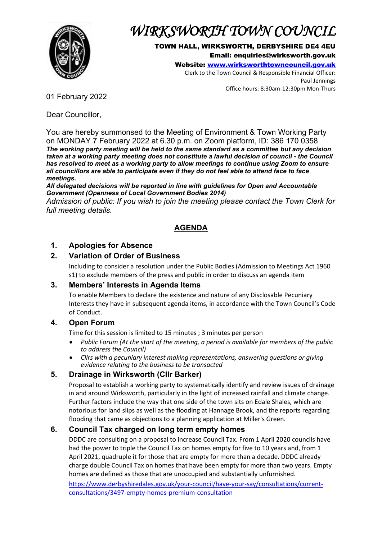

# *WIRKSWORTH TOWN COUNCIL*

TOWN HALL, WIRKSWORTH, DERBYSHIRE DE4 4EU Email: enquiries@wirksworth.gov.uk

Website: [www.wirksworthtowncouncil.gov.uk](http://www.wirksworthtowncouncil.gov.uk/)

Clerk to the Town Council & Responsible Financial Officer: Paul Jennings Office hours: 8:30am-12:30pm Mon-Thurs

01 February 2022

Dear Councillor,

You are hereby summonsed to the Meeting of Environment & Town Working Party on MONDAY 7 February 2022 at 6.30 p.m. on Zoom platform, ID: 386 170 0358 *The working party meeting will be held to the same standard as a committee but any decision taken at a working party meeting does not constitute a lawful decision of council - the Council has resolved to meet as a working party to allow meetings to continue using Zoom to ensure all councillors are able to participate even if they do not feel able to attend face to face meetings.* 

*All delegated decisions will be reported in line with guidelines for Open and Accountable Government (Openness of Local Government Bodies 2014)*

*Admission of public: If you wish to join the meeting please contact the Town Clerk for full meeting details.* 

# **AGENDA**

## **1. Apologies for Absence**

## **2. Variation of Order of Business**

Including to consider a resolution under the Public Bodies (Admission to Meetings Act 1960 s1) to exclude members of the press and public in order to discuss an agenda item

## **3. Members' Interests in Agenda Items**

To enable Members to declare the existence and nature of any Disclosable Pecuniary Interests they have in subsequent agenda items, in accordance with the Town Council's Code of Conduct.

## **4. Open Forum**

Time for this session is limited to 15 minutes ; 3 minutes per person

- *Public Forum (At the start of the meeting, a period is available for members of the public to address the Council)*
- *Cllrs with a pecuniary interest making representations, answering questions or giving evidence relating to the business to be transacted*

# **5. Drainage in Wirksworth (Cllr Barker)**

Proposal to establish a working party to systematically identify and review issues of drainage in and around Wirksworth, particularly in the light of increased rainfall and climate change. Further factors include the way that one side of the town sits on Edale Shales, which are notorious for land slips as well as the flooding at Hannage Brook, and the reports regarding flooding that came as objections to a planning application at Miller's Green.

# **6. Council Tax charged on long term empty homes**

DDDC are consulting on a proposal to increase Council Tax. From 1 April 2020 councils have had the power to triple the Council Tax on homes empty for five to 10 years and, from 1 April 2021, quadruple it for those that are empty for more than a decade. DDDC already charge double Council Tax on homes that have been empty for more than two years. Empty homes are defined as those that are unoccupied and substantially unfurnished.

[https://www.derbyshiredales.gov.uk/your-council/have-your-say/consultations/current](https://www.derbyshiredales.gov.uk/your-council/have-your-say/consultations/current-consultations/3497-empty-homes-premium-consultation)[consultations/3497-empty-homes-premium-consultation](https://www.derbyshiredales.gov.uk/your-council/have-your-say/consultations/current-consultations/3497-empty-homes-premium-consultation)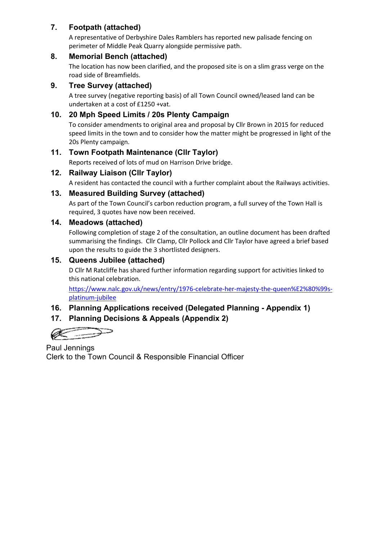## **7. Footpath (attached)**

A representative of Derbyshire Dales Ramblers has reported new palisade fencing on perimeter of Middle Peak Quarry alongside permissive path.

#### **8. Memorial Bench (attached)**

The location has now been clarified, and the proposed site is on a slim grass verge on the road side of Breamfields.

#### **9. Tree Survey (attached)**

A tree survey (negative reporting basis) of all Town Council owned/leased land can be undertaken at a cost of £1250 +vat.

## **10. 20 Mph Speed Limits / 20s Plenty Campaign**

To consider amendments to original area and proposal by Cllr Brown in 2015 for reduced speed limits in the town and to consider how the matter might be progressed in light of the 20s Plenty campaign.

## **11. Town Footpath Maintenance (Cllr Taylor)**

Reports received of lots of mud on Harrison Drive bridge.

## **12. Railway Liaison (Cllr Taylor)**

A resident has contacted the council with a further complaint about the Railways activities.

## **13. Measured Building Survey (attached)**

As part of the Town Council's carbon reduction program, a full survey of the Town Hall is required, 3 quotes have now been received.

#### **14. Meadows (attached)**

Following completion of stage 2 of the consultation, an outline document has been drafted summarising the findings. Cllr Clamp, Cllr Pollock and Cllr Taylor have agreed a brief based upon the results to guide the 3 shortlisted designers.

## **15. Queens Jubilee (attached)**

D Cllr M Ratcliffe has shared further information regarding support for activities linked to this national celebration.

[https://www.nalc.gov.uk/news/entry/1976-celebrate-her-majesty-the-queen%E2%80%99s](https://www.nalc.gov.uk/news/entry/1976-celebrate-her-majesty-the-queen%E2%80%99s-platinum-jubilee)[platinum-jubilee](https://www.nalc.gov.uk/news/entry/1976-celebrate-her-majesty-the-queen%E2%80%99s-platinum-jubilee)

## **16. Planning Applications received (Delegated Planning - Appendix 1)**

# **17. Planning Decisions & Appeals (Appendix 2)**

Paul Jennings Clerk to the Town Council & Responsible Financial Officer